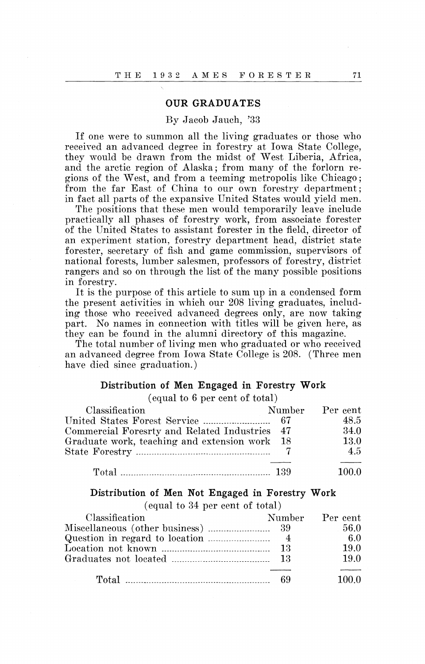### **OUR GRADUATES**

#### By Jacob Jauch, '33

If one were to summon all the living graduates or those who received an advanced degree in forestry at Iowa State College, they would be drawn from the midst of West Liberia, Africa, and the arctic region of Alaska; from many of the forlorn regions of the West, and from a teeming metropolis like Chicago; from the far East of China to our own forestry department; in fact all parts of the expansive United States would yield men.

The positions that these men would temporarily leave include practically all phases of forestry work, from associate forester of the United States to assistant forester in the field, director of an experiment station, forestry department head, district state forester, secretary of fish and game commission, supervisors of national forests, lumber salesmen, professors of forestry, district rangers and so on through the list of the many possible positions in forestry.

It is the purpose of this article to sum up in a condensed form the present activities in which our 208 living graduates, including those who received advanced degrees only, are now taking part. No names in connection with titles will be given here, as they can be found in the alumni directory of this magazine.

The total number of living men who graduated or who received an advanced degree from Iowa State College is 208. (Three men have died since graduation.)

## **Distribution of Men Engaged in Forestry Work**

(equal to 6 per cent of total)

| Classification                                | Number Percent |
|-----------------------------------------------|----------------|
|                                               | 48.5           |
| Commercial Foresrty and Related Industries 47 | 34.0           |
| Graduate work, teaching and extension work 18 | 13.0           |
|                                               | 4.5            |
|                                               |                |
| Total $\ldots$ 139                            | 100.0          |

#### **Distribution of Men Not Engaged in Forestry Work**

(equal to 34 per cent of total)

| Classification |     | Number Percent |
|----------------|-----|----------------|
|                |     | 56.0           |
|                |     | -6.0           |
|                |     | 19.0           |
|                |     | 19.0           |
|                | -69 | 100.0          |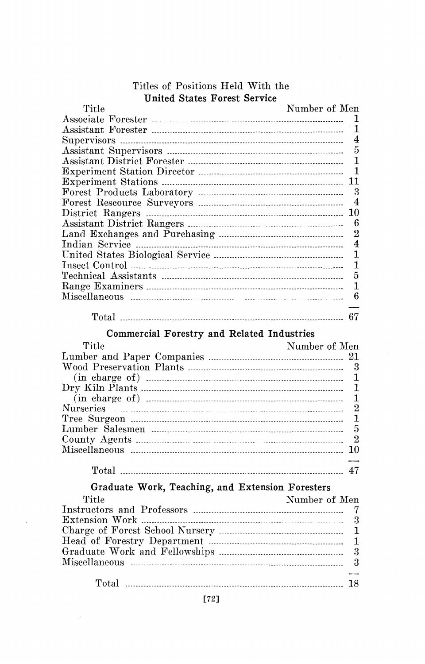| <b>United States Forest Service</b>              |                  |
|--------------------------------------------------|------------------|
| Title                                            | Number of Men    |
|                                                  | 1                |
|                                                  | 1                |
|                                                  | 4                |
|                                                  | $\overline{5}$   |
|                                                  | $\mathbf{1}$     |
|                                                  | 1                |
|                                                  | 11               |
|                                                  | 3                |
|                                                  | 4                |
|                                                  | 10               |
|                                                  | 6                |
|                                                  | $\overline{2}$   |
|                                                  | $\overline{4}$   |
|                                                  | 1                |
|                                                  | $\mathbf{1}$     |
|                                                  | 5                |
|                                                  | $\mathbf{1}$     |
|                                                  | $\boldsymbol{6}$ |
|                                                  |                  |
| Commercial Forestry and Related Industries       |                  |
|                                                  |                  |
|                                                  |                  |
| $\rm{Title}$                                     | Number of Men    |
|                                                  |                  |
|                                                  | 3                |
|                                                  | 1                |
|                                                  | $\mathbf{1}$     |
|                                                  | $\mathbf{1}$     |
|                                                  | $\overline{2}$   |
|                                                  | $\mathbf{1}$     |
|                                                  | 5                |
|                                                  | $\overline{2}$   |
|                                                  | 10               |
|                                                  | 47               |
| Graduate Work, Teaching, and Extension Foresters |                  |
|                                                  |                  |
| $\operatorname{Title}$                           | Number of Men    |
|                                                  | 7                |
|                                                  | 3                |
|                                                  | $\mathbf{1}$     |
|                                                  | $\mathbf{1}$     |
|                                                  | 3                |
|                                                  | 3                |

# Titles of Positions Held With the

 $\sim$